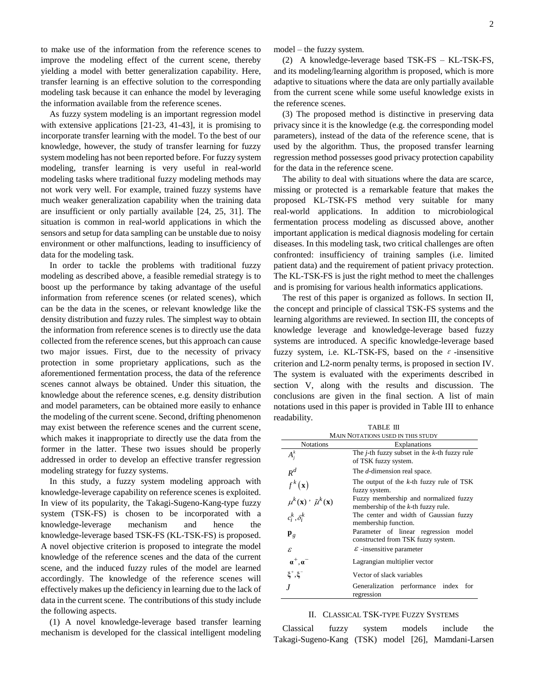to make use of the information from the reference scenes to improve the modeling effect of the current scene, thereby yielding a model with better generalization capability. Here, transfer learning is an effective solution to the corresponding modeling task because it can enhance the model by leveraging the information available from the reference scenes.

As fuzzy system modeling is an important regression model with extensive applications [21-23, 41-43], it is promising to incorporate transfer learning with the model. To the best of our knowledge, however, the study of transfer learning for fuzzy system modeling has not been reported before. For fuzzy system modeling, transfer learning is very useful in real-world modeling tasks where traditional fuzzy modeling methods may not work very well. For example, trained fuzzy systems have much weaker generalization capability when the training data are insufficient or only partially available [24, 25, 31]. The situation is common in real-world applications in which the sensors and setup for data sampling can be unstable due to noisy environment or other malfunctions, leading to insufficiency of data for the modeling task.

In order to tackle the problems with traditional fuzzy modeling as described above, a feasible remedial strategy is to boost up the performance by taking advantage of the useful information from reference scenes (or related scenes), which can be the data in the scenes, or relevant knowledge like the density distribution and fuzzy rules. The simplest way to obtain the information from reference scenes is to directly use the data collected from the reference scenes, but this approach can cause two major issues. First, due to the necessity of privacy protection in some proprietary applications, such as the aforementioned fermentation process, the data of the reference scenes cannot always be obtained. Under this situation, the knowledge about the reference scenes, e.g. density distribution and model parameters, can be obtained more easily to enhance the modeling of the current scene. Second, drifting phenomenon may exist between the reference scenes and the current scene, which makes it inappropriate to directly use the data from the former in the latter. These two issues should be properly addressed in order to develop an effective transfer regression modeling strategy for fuzzy systems.

In this study, a fuzzy system modeling approach with knowledge-leverage capability on reference scenes is exploited. In view of its popularity, the Takagi-Sugeno-Kang-type fuzzy system (TSK-FS) is chosen to be incorporated with a knowledge-leverage mechanism and hence the knowledge-leverage based TSK-FS (KL-TSK-FS) is proposed. A novel objective criterion is proposed to integrate the model knowledge of the reference scenes and the data of the current scene, and the induced fuzzy rules of the model are learned accordingly. The knowledge of the reference scenes will effectively makes up the deficiency in learning due to the lack of data in the current scene. The contributions of this study include the following aspects.

(1) A novel knowledge-leverage based transfer learning mechanism is developed for the classical intelligent modeling

model – the fuzzy system.

(2) A knowledge-leverage based TSK-FS – KL-TSK-FS, and its modeling/learning algorithm is proposed, which is more adaptive to situations where the data are only partially available from the current scene while some useful knowledge exists in the reference scenes.

(3) The proposed method is distinctive in preserving data privacy since it is the knowledge (e.g. the corresponding model parameters), instead of the data of the reference scene, that is used by the algorithm. Thus, the proposed transfer learning regression method possesses good privacy protection capability for the data in the reference scene.

The ability to deal with situations where the data are scarce, missing or protected is a remarkable feature that makes the proposed KL-TSK-FS method very suitable for many real-world applications. In addition to microbiological fermentation process modeling as discussed above, another important application is medical diagnosis modeling for certain diseases. In this modeling task, two critical challenges are often confronted: insufficiency of training samples (i.e. limited patient data) and the requirement of patient privacy protection. The KL-TSK-FS is just the right method to meet the challenges and is promising for various health informatics applications.

The rest of this paper is organized as follows. In section II, the concept and principle of classical TSK-FS systems and the learning algorithms are reviewed. In section III, the concepts of knowledge leverage and knowledge-leverage based fuzzy systems are introduced. A specific knowledge-leverage based fuzzy system, i.e. KL-TSK-FS, based on the  $\varepsilon$ -insensitive criterion and L2-norm penalty terms, is proposed in section IV. The system is evaluated with the experiments described in section V, along with the results and discussion. The conclusions are given in the final section. A list of main notations used in this paper is provided in Table III to enhance readability.

| TABLE III                                         |                                                                                 |  |  |  |
|---------------------------------------------------|---------------------------------------------------------------------------------|--|--|--|
| MAIN NOTATIONS USED IN THIS STUDY                 |                                                                                 |  |  |  |
| <b>Notations</b>                                  | Explanations                                                                    |  |  |  |
| $A_i^k$                                           | The <i>j</i> -th fuzzy subset in the $k$ -th fuzzy rule<br>of TSK fuzzy system. |  |  |  |
| $R^d$                                             | The d-dimension real space.                                                     |  |  |  |
| $f^k(\mathbf{x})$                                 | The output of the $k$ -th fuzzy rule of TSK<br>fuzzy system.                    |  |  |  |
| $\mu^k(\mathbf{x})$ ' $\tilde{\mu}^k(\mathbf{x})$ | Fuzzy membership and normalized fuzzy<br>membership of the $k$ -th fuzzy rule.  |  |  |  |
| .<br>$c_i^k, \delta_i^k$                          | The center and width of Gaussian fuzzy<br>membership function.                  |  |  |  |
| ${\bf p}_g$                                       | Parameter of linear regression model<br>constructed from TSK fuzzy system.      |  |  |  |
| $\mathcal{E}$                                     | $\varepsilon$ -insensitive parameter                                            |  |  |  |
| $\alpha^+,\alpha^-$                               | Lagrangian multiplier vector                                                    |  |  |  |
| $\xi^+,\xi^-$                                     | Vector of slack variables                                                       |  |  |  |
|                                                   | Generalization performance index<br>for<br>regression                           |  |  |  |

#### II. CLASSICAL TSK-TYPE FUZZY SYSTEMS

Classical fuzzy system models include the Takagi-Sugeno-Kang (TSK) model [26], Mamdani-Larsen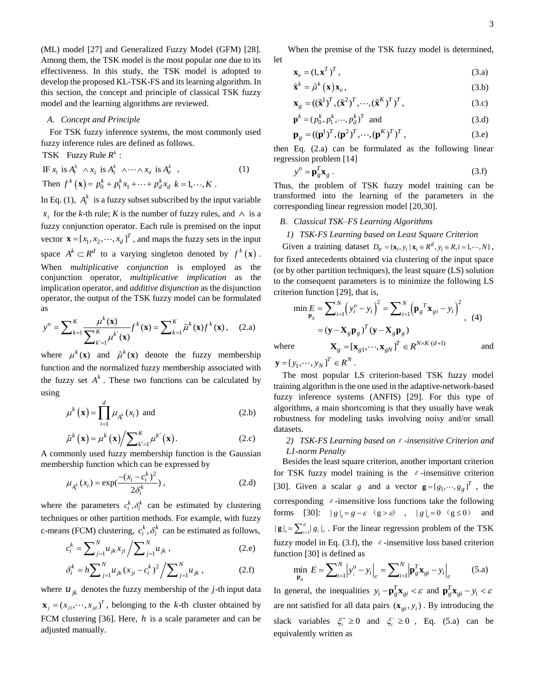(ML) model [27] and Generalized Fuzzy Model (GFM) [28]. Among them, the TSK model is the most popular one due to its effectiveness. In this study, the TSK model is adopted to develop the proposed KL-TSK-FS and its learning algorithm. In this section, the concept and principle of classical TSK fuzzy model and the learning algorithms are reviewed.

## *A. Concept and Principle*

For TSK fuzzy inference systems, the most commonly used fuzzy inference rules are defined as follows.

TSK Fuzzy Rule  $R^k$ :

ISK Tuzzy Kuie *K* .<br>IF  $x_1$  is  $A_1^k \wedge x_2$  is  $A_2^k \wedge \cdots \wedge x_d$  is  $A_d^k$ , (1) Then  $f^{k}(\mathbf{x}) = p_{0}^{k} + p_{1}^{k}x_{1} + \cdots + p_{d}^{k}x_{d}$   $k = 1, \cdots, K$ . In Eq. (1),  $A_i^k$  is a fuzzy subset subscribed by the input variable  $x_i$  for the *k*-th rule; *K* is the number of fuzzy rules, and  $\wedge$  is a fuzzy conjunction operator. Each rule is premised on the input vector  $\mathbf{x} = [x_1, x_2, \dots, x_d]^T$ , and maps the fuzzy sets in the input space  $A^k \subset R^d$  to a varying singleton denoted by  $f^k(\mathbf{x})$ . When *multiplicative conjunction* is employed as the conjunction operator, *multiplicative implication* as the implication operator, and *additive disjunction* as the disjunction as

operator, the output of the TSK fuzzy model can be formulated as  
\n
$$
y^o = \sum_{k=1}^K \frac{\mu^k(\mathbf{x})}{\sum_{k'=1}^K \mu^{k'}(\mathbf{x})} f^k(\mathbf{x}) = \sum_{k=1}^K \tilde{\mu}^k(\mathbf{x}) f^k(\mathbf{x}), \quad (2.a)
$$

where  $\mu^k(\mathbf{x})$  and  $\tilde{\mu}^k(\mathbf{x})$  denote the fuzzy membership function and the normalized fuzzy membership associated with the fuzzy set  $A^k$ . These two functions can be calculated by using

$$
\mu^{k}(\mathbf{x}) = \prod_{i=1}^{d} \mu_{A_{i}^{k}}(x_{i}) \text{ and}
$$
\n(2.b)

$$
\tilde{\mu}^{k}(\mathbf{x}) = \mu^{k}(\mathbf{x}) / \sum_{k'=1}^{K} \mu^{k'}(\mathbf{x}).
$$
\n(2.c)

A commonly used fuzzy membership function is the Gaussian membership function which can be expressed by

$$
\mu_{A_i^k}(x_i) = \exp(\frac{-(x_i - c_i^k)^2}{2\delta_i^k}),
$$
\n(2. d)

where the parameters  $c_i^k$ ,  $\delta_i^k$  can be estimated by clustering techniques or other partition methods. For example, with fuzzy

c-means (FCM) clustering, 
$$
c_i^k
$$
,  $\delta_i^k$  can be estimated as follows,  

$$
c_i^k = \sum_{j=1}^N u_{jk} x_{ji} / \sum_{j=1}^N u_{jk}
$$
, (2.e)

$$
c_i = \sum_{j=1} u_{jk} x_{ji} / \sum_{j=1} u_{jk},
$$
\n
$$
\delta_i^k = h \sum_{j=1}^N u_{jk} (x_{ji} - c_i^k)^2 / \sum_{j=1}^N u_{jk},
$$
\n(2.6)

where  $u_{jk}$  denotes the fuzzy membership of the *j*-th input data  $\mathbf{x}_j = (x_{j1}, \dots, x_{jd})^T$ , belonging to the k-th cluster obtained by FCM clustering [36]. Here, *h* is a scale parameter and can be adjusted manually.

When the premise of the TSK fuzzy model is determined, let

$$
\mathbf{x}_e = (1, \mathbf{x}^T)^T, \tag{3.3}
$$

$$
\tilde{\mathbf{x}}^k = \tilde{\mu}^k(\mathbf{x}) \mathbf{x}_e, \tag{3.b}
$$

$$
\mathbf{x}_{g} = ((\tilde{\mathbf{x}}^{1})^{T}, (\tilde{\mathbf{x}}^{2})^{T}, \cdots, (\tilde{\mathbf{x}}^{K})^{T})^{T},
$$
\n(3.c)

$$
\mathbf{p}^{k} = (p_0^k, p_1^k, \cdots, p_d^k)^T \text{ and } (3. d)
$$

$$
\mathbf{p}_g = ((\mathbf{p}^1)^T, (\mathbf{p}^2)^T, \cdots, (\mathbf{p}^K)^T)^T,
$$
\n(3.e)

then Eq. (2.a) can be formulated as the following linear regression problem [14]

$$
y^o = \mathbf{p}_g^T \mathbf{x}_g \,. \tag{3. f}
$$

Thus, the problem of TSK fuzzy model training can be transformed into the learning of the parameters in the corresponding linear regression model [20,30].

### *B. Classical TSK–FS Learning Algorithms*

*1) TSK-FS Learning based on Least Square Criterion*

Given a training dataset  $D_{tr} = {\mathbf{x}_i, y_i | \mathbf{x}_i \in R^d, y_i \in R, i = 1, \dots, N}$ , for fixed antecedents obtained via clustering of the input space (or by other partition techniques), the least square (LS) solution

to the consequent parameters is to minimize the following LS  
criterion function [29], that is,  

$$
\min_{\mathbf{p}_g} E = \sum_{i=1}^N \left( y_i^o - y_i \right)^2 = \sum_{i=1}^N \left( \mathbf{p}_g^T \mathbf{x}_{gi} - y_i \right)^2
$$

$$
= (\mathbf{y} - \mathbf{X}_g \mathbf{p}_g)^T (\mathbf{y} - \mathbf{X}_g \mathbf{p}_g)
$$
  
where 
$$
\mathbf{X}_g = [\mathbf{x}_{g1}, \dots, \mathbf{x}_{gN}]^T \in R^{N \times K \cdot (d+1)}
$$
 and

where

 $\mathbf{y} = [y_1, \dots, y_N]^T \in R^N$ .

The most popular LS criterion-based TSK fuzzy model training algorithm is the one used in the adaptive-network-based fuzzy inference systems (ANFIS) [29]. For this type of algorithms, a main shortcoming is that they usually have weak robustness for modeling tasks involving noisy and/or small datasets.

# *2) TSK-FS Learning based on*ε*-insensitive Criterion and L1-norm Penalty*

Besides the least square criterion, another important criterion for TSK fuzzy model training is the  $\varepsilon$ -insensitive criterion [30]. Given a scalar g and a vector  $\mathbf{g} = [g_1, \dots, g_g]^T$ , the corresponding  $\varepsilon$ -insensitive loss functions take the following forms [30]:  $|g|_{g} = g - \varepsilon$  ( $g > \varepsilon$ ),  $|g|_{g} = 0$  ( $g \le 0$ ) and  $|\mathbf{g}|_{\varepsilon} = \sum_{i=1}^{d} |g_i|_{\varepsilon}$ . For the linear regression problem of the TSK fuzzy model in Eq. (3.f), the  $\varepsilon$ -insensitive loss based criterion function [30] is defined as<br>  $\min_{\mathbf{p}_g} E = \sum_{i=1}^{N} |y_i^o - y_i|_{\varepsilon} = \sum_{i=1}^{N} |\mathbf{p}_g^T \mathbf{x}_{gi} - y_i|_{\varepsilon}$  (5.a)

function [30] is defined as  
\n
$$
\min_{\mathbf{p}_g} E = \sum_{i=1}^{N} \left| y_i^o - y_i \right|_{\varepsilon} = \sum_{i=1}^{N} \left| \mathbf{p}_g^T \mathbf{x}_{gi} - y_i \right|_{\varepsilon}
$$
\n(5.a)

In general, the inequalities  $y_i - \mathbf{p}_g^T \mathbf{x}_{gi} < \varepsilon$  and  $\mathbf{p}_g^T \mathbf{x}_{gi} - y_i < \varepsilon$ are not satisfied for all data pairs  $(\mathbf{x}_{gi}, y_i)$ . By introducing the slack variables  $\xi_i^+ \ge 0$  and  $\xi_i^- \ge 0$ , Eq. (5.a) can be equivalently written as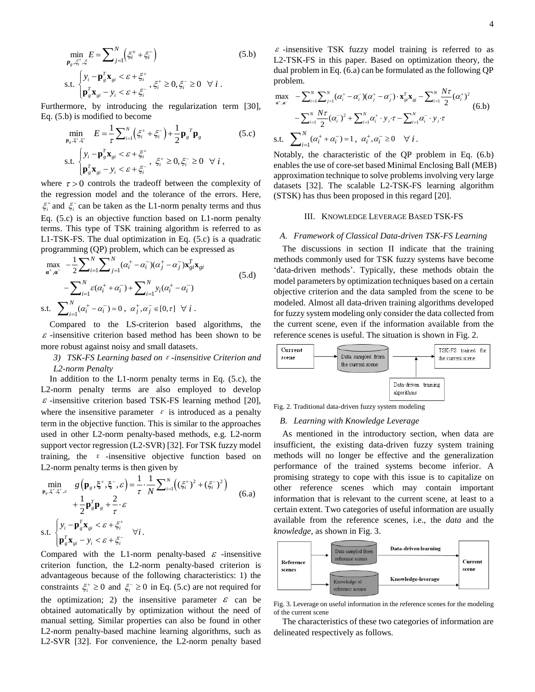$$
\min_{\mathbf{p}_g, \xi_i^+, \xi} E = \sum_{j=1}^N \left( \xi_i^+ + \xi_i^- \right) \tag{5.b}
$$
\n
$$
\text{s.t. } \begin{cases} y_i - \mathbf{p}_g^T \mathbf{x}_{gi} < \varepsilon + \xi_i^+ \\ \mathbf{p}_g^T \mathbf{x}_{gi} - y_i < \varepsilon + \xi_i^- \end{cases}, \xi_i^+ \ge 0, \xi_i^- \ge 0 \quad \forall i.
$$

Furthermore, by introducing the regularization term [30],

Eq. (5.b) is modified to become  
\n
$$
\min_{\mathbf{p}_g, \xi^*, \xi^*} E = \frac{1}{\tau} \sum_{i=1}^N (\xi_i^+ + \xi_i^-) + \frac{1}{2} \mathbf{p}_g^T \mathbf{p}_g
$$
\n(5.c)  
\ns.t.  
\n
$$
\begin{cases}\ny_i - \mathbf{p}_g^T \mathbf{x}_{gi} < \varepsilon + \xi_i^+ \\
\mathbf{p}_g^T \mathbf{x}_{gi} - y_i < \varepsilon + \xi_i^-,\n\end{cases} \xi_i^+ \ge 0, \xi_i^- \ge 0 \quad \forall i,
$$

where  $\tau > 0$  controls the tradeoff between the complexity of the regression model and the tolerance of the errors. Here,  $\xi_i^+$  and  $\xi_i^-$  can be taken as the L1-norm penalty terms and thus Eq. (5.c) is an objective function based on L1-norm penalty terms. This type of TSK training algorithm is referred to as L1-TSK-FS. The dual optimization in Eq. (5.c) is a quadratic

L1-TSK-FS. The dual optimization in Eq. (5.c) is a quadratic programming (QP) problem, which can be expressed as\n
$$
\max_{\mathbf{a}^+, \mathbf{a}^-} -\frac{1}{2} \sum_{i=1}^N \sum_{j=1}^N (\alpha_i^+ - \alpha_i^-)(\alpha_j^+ - \alpha_j^-) \mathbf{x}_{gi}^T \mathbf{x}_{gi}
$$
\n
$$
- \sum_{i=1}^N \varepsilon (\alpha_i^+ + \alpha_i^-) + \sum_{i=1}^N y_i (\alpha_i^+ - \alpha_i^-)
$$
\ns.t. 
$$
\sum_{i=1}^N (\alpha_i^+ - \alpha_i^-) = 0, \ \alpha_j^+, \alpha_j^- \in [0, \tau] \ \forall \ i.
$$

Compared to the LS-criterion based algorithms, the  $\varepsilon$ -insensitive criterion based method has been shown to be more robust against noisy and small datasets.

## *3) TSK-FS Learning based on*ε*-insensitive Criterion and L2-norm Penalty*

In addition to the  $L1$ -norm penalty terms in Eq. (5.c), the L2-norm penalty terms are also employed to develop  $\varepsilon$  -insensitive criterion based TSK-FS learning method [20], where the insensitive parameter  $\varepsilon$  is introduced as a penalty term in the objective function. This is similar to the approaches used in other L2-norm penalty-based methods, e.g. L2-norm support vector regression (L2-SVR) [32]. For TSK fuzzy model training, the  $\varepsilon$  -insensitive objective function based on

L2-norm penalty terms is then given by  
\n
$$
\min_{\mathbf{p}_g, \xi^*, \xi^*, c} g(\mathbf{p}_g, \xi^*, \xi^-, \varepsilon) = \frac{1}{\tau} \cdot \frac{1}{N} \sum_{i=1}^N \left( (\xi_i^*)^2 + (\xi_i^*)^2 \right) + \frac{1}{2} \mathbf{p}_g^T \mathbf{p}_g + \frac{2}{\tau} \cdot \varepsilon
$$
\ns.t. 
$$
\begin{cases}\ny_i - \mathbf{p}_g^T \mathbf{x}_{gi} < \varepsilon + \xi_i^+ \\
\mathbf{p}_g^T \mathbf{x}_{gi} - y_i < \varepsilon + \xi_i^- \n\end{cases} \forall i.
$$
\n(6.3)

Compared with the L1-norm penalty-based  $\varepsilon$  -insensitive criterion function, the L2-norm penalty-based criterion is advantageous because of the following characteristics: 1) the constraints  $\xi_i^+ \ge 0$  and  $\xi_i^- \ge 0$  in Eq. (5.c) are not required for the optimization; 2) the insensitive parameter  $\varepsilon$  can be obtained automatically by optimization without the need of manual setting. Similar properties can also be found in other L2-norm penalty-based machine learning algorithms, such as

L2-TSK-FS in this paper. Based on optimization theory, the dual problem in Eq. (6.a) can be formulated as the following QP<br>problem.<br> $\max_{\mathbf{a}^+, \mathbf{a}^-} -\sum_{i=1}^N \sum_{j=1}^N (\alpha_i^+ - \alpha_i^-)(\alpha_j^+ - \alpha_j^-) \cdot \mathbf{x}_{gi}^T \mathbf{x}_{gi} - \sum_{i=1}^N \frac{N\tau}{2} (\alpha_i^+)^2$ <br>(6 b) problem.

problem.  
\n
$$
\max_{\mathbf{a}^*, \mathbf{a}^-} -\sum_{i=1}^N \sum_{j=1}^N (\alpha_i^+ - \alpha_i^-)(\alpha_j^+ - \alpha_j^-) \cdot \mathbf{x}_{gi}^T \mathbf{x}_{gi} - \sum_{i=1}^N \frac{N\tau}{2} (\alpha_i^+)^2 - \sum_{i=1}^N \frac{N\tau}{2} (\alpha_i^-)^2 + \sum_{i=1}^N \alpha_i^+ \cdot \mathbf{y}_i \cdot \tau - \sum_{i=1}^N \alpha_i^- \cdot \mathbf{y}_i \cdot \tau
$$
\ns.t. 
$$
\sum_{i=1}^N (\alpha_i^+ + \alpha_i^-) = 1, \ \alpha_i^+, \alpha_i^- \ge 0 \quad \forall \ i.
$$

Notably, the characteristic of the QP problem in Eq. (6.b) enables the use of core-set based Minimal Enclosing Ball (MEB) approximation technique to solve problems involving very large datasets [32]. The scalable L2-TSK-FS learning algorithm (STSK) has thus been proposed in this regard [20].

#### III. KNOWLEDGE LEVERAGE BASED TSK-FS

### *A. Framework of Classical Data-driven TSK-FS Learning*

The discussions in section II indicate that the training methods commonly used for TSK fuzzy systems have become 'data-driven methods'. Typically, these methods obtain the model parameters by optimization techniques based on a certain objective criterion and the data sampled from the scene to be modeled. Almost all data-driven training algorithms developed for fuzzy system modeling only consider the data collected from the current scene, even if the information available from the reference scenes is useful. The situation is shown in Fig. 2.



Fig. 2. Traditional data-driven fuzzy system modeling

### *B. Learning with Knowledge Leverage*

L2-SXR  $T_0 = \sum_{n=1}^{\infty} \sum_{n=1}^{\infty} \sum_{n=1}^{\infty} \sum_{n=1}^{\infty} \sum_{n=1}^{\infty} \sum_{n=1}^{\infty} \sum_{n=1}^{\infty} \sum_{n=1}^{\infty} \sum_{n=1}^{\infty} \sum_{n=1}^{\infty} \sum_{n=1}^{\infty} \sum_{n=1}^{\infty} \sum_{n=1}^{\infty} \sum_{n=1}^{\infty} \sum_{n=1}^{\infty} \sum_{n=1}^{\infty} \sum_{n=1}^{\infty} \sum_{n=$ As mentioned in the introductory section, when data are insufficient, the existing data-driven fuzzy system training methods will no longer be effective and the generalization performance of the trained systems become inferior. A promising strategy to cope with this issue is to capitalize on other reference scenes which may contain important information that is relevant to the current scene, at least to a certain extent. Two categories of useful information are usually available from the reference scenes, i.e., the *data* and the *knowledge*, as shown in Fig. 3.



Fig. 3. Leverage on useful information in the reference scenes for the modeling of the current scene

The characteristics of these two categories of information are delineated respectively as follows.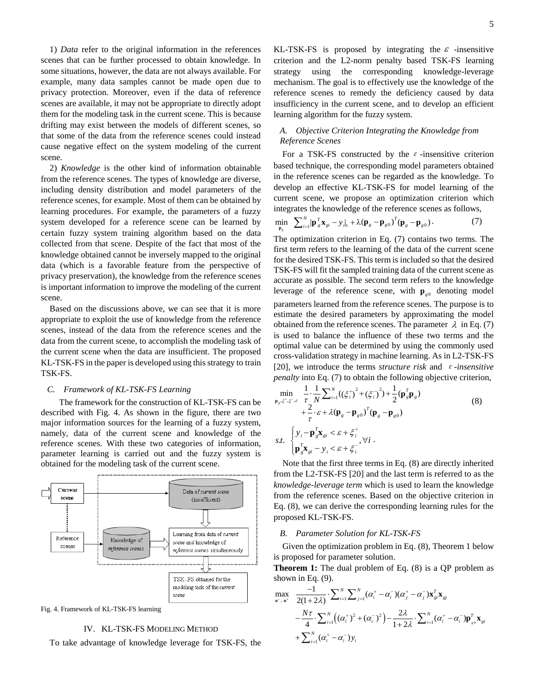1) *Data* refer to the original information in the references scenes that can be further processed to obtain knowledge. In some situations, however, the data are not always available. For example, many data samples cannot be made open due to privacy protection. Moreover, even if the data of reference scenes are available, it may not be appropriate to directly adopt them for the modeling task in the current scene. This is because drifting may exist between the models of different scenes, so that some of the data from the reference scenes could instead cause negative effect on the system modeling of the current scene.

2) *Knowledge* is the other kind of information obtainable from the reference scenes. The types of knowledge are diverse, including density distribution and model parameters of the reference scenes, for example. Most of them can be obtained by learning procedures. For example, the parameters of a fuzzy system developed for a reference scene can be learned by certain fuzzy system training algorithm based on the data collected from that scene. Despite of the fact that most of the knowledge obtained cannot be inversely mapped to the original data (which is a favorable feature from the perspective of privacy preservation), the knowledge from the reference scenes is important information to improve the modeling of the current scene.

Based on the discussions above, we can see that it is more appropriate to exploit the use of knowledge from the reference scenes, instead of the data from the reference scenes and the data from the current scene, to accomplish the modeling task of the current scene when the data are insufficient. The proposed KL-TSK-FS in the paper is developed using this strategy to train TSK-FS.

### *C. Framework of KL-TSK-FS Learning*

The framework for the construction of KL-TSK-FS can be described with Fig. 4. As shown in the figure, there are two major information sources for the learning of a fuzzy system, namely, data of the current scene and knowledge of the reference scenes. With these two categories of information, parameter learning is carried out and the fuzzy system is obtained for the modeling task of the current scene.





## IV. KL-TSK-FS MODELING METHOD

To take advantage of knowledge leverage for TSK-FS, the

KL-TSK-FS is proposed by integrating the  $\varepsilon$  -insensitive criterion and the L2-norm penalty based TSK-FS learning strategy using the corresponding knowledge-leverage mechanism. The goal is to effectively use the knowledge of the reference scenes to remedy the deficiency caused by data insufficiency in the current scene, and to develop an efficient learning algorithm for the fuzzy system.

## *A. Objective Criterion Integrating the Knowledge from Reference Scenes*

For a TSK-FS constructed by the  $\varepsilon$ -insensitive criterion based technique, the corresponding model parameters obtained in the reference scenes can be regarded as the knowledge. To develop an effective KL-TSK-FS for model learning of the current scene, we propose an optimization criterion which

integrates the knowledge of the reference scenes as follows,  
\n
$$
\min_{\mathbf{p}_g} \sum_{i=1}^{N} |\mathbf{p}_g^T \mathbf{x}_{gi} - \mathbf{y}_i|_{\varepsilon} + \lambda (\mathbf{p}_g - \mathbf{p}_{g0})^T (\mathbf{p}_g - \mathbf{p}_{g0}).
$$
\n(7)

The optimization criterion in Eq. (7) contains two terms. The first term refers to the learning of the data of the current scene for the desired TSK-FS. This term is included so that the desired TSK-FS will fit the sampled training data of the current scene as accurate as possible. The second term refers to the knowledge leverage of the reference scene, with  $\mathbf{p}_{g0}$  denoting model parameters learned from the reference scenes. The purpose is to estimate the desired parameters by approximating the model obtained from the reference scenes. The parameter  $\lambda$  in Eq. (7) is used to balance the influence of these two terms and the optimal value can be determined by using the commonly used cross-validation strategy in machine learning. As in L2-TSK-FS [20], we introduce the terms *structure risk* and  $\varepsilon$ -insensitive

\n
$$
\text{penalty into Eq. (7) to obtain the following objective criterion,}
$$
\n
$$
\min_{\mathbf{p}_s, \xi^+, \xi^-, \varepsilon} \frac{1}{\tau} \cdot \frac{1}{N} \sum_{i=1}^N \left( \left( \xi_i^+ \right)^2 + \left( \xi_i^- \right)^2 \right) + \frac{1}{2} (\mathbf{p}_g^T \mathbf{p}_g)
$$
\n
$$
+ \frac{2}{\tau} \cdot \varepsilon + \lambda (\mathbf{p}_g - \mathbf{p}_{g0})^T (\mathbf{p}_g - \mathbf{p}_{g0})
$$
\n
$$
\text{s.t. } \begin{cases}\n\mathbf{y}_i - \mathbf{p}_g^T \mathbf{x}_{gi} < \varepsilon + \xi_i^+ \\
\mathbf{p}_g^T \mathbf{x}_{gi} - \mathbf{y}_i < \varepsilon + \xi_i^- \end{cases} \forall i.
$$
\n

Note that the first three terms in Eq. (8) are directly inherited from the L2-TSK-FS [20] and the last term is referred to as the *knowledge-leverage term* which is used to learn the knowledge from the reference scenes. Based on the objective criterion in Eq. (8), we can derive the corresponding learning rules for the proposed KL-TSK-FS.

### *B. Parameter Solution for KL-TSK-FS*

Given the optimization problem in Eq. (8), Theorem 1 below is proposed for parameter solution.

**Theorem 1:** The dual problem of Eq. (8) is a QP problem as shown in Eq. (9).<br>  $\max_{\mathbf{a}^-, \mathbf{a}^+} \frac{-1}{2(1+2\lambda)} \cdot \sum_{i=1}^N \sum_{j=1}^N (\alpha_i^+ - \alpha_i^-)(\alpha_j^+ - \alpha_j^-) \mathbf{x}_{gi}^T \mathbf{x}_{gi}$ shown in Eq. (9).

shown in Eq. (9).  
\n
$$
\max_{\mathbf{a}^-, \mathbf{a}^+} \frac{-1}{2(1+2\lambda)} \cdot \sum_{i=1}^N \sum_{j=1}^N (\alpha_i^+ - \alpha_i^-) (\alpha_j^+ - \alpha_j^-) \mathbf{x}_{gi}^T \mathbf{x}_{gi} -\frac{N\tau}{4} \cdot \sum_{i=1}^N ((\alpha_i^+)^2 + (\alpha_i^-)^2) - \frac{2\lambda}{1+2\lambda} \cdot \sum_{i=1}^N (\alpha_i^+ - \alpha_i^-) \mathbf{p}_{so}^T \mathbf{x}_{gi} + \sum_{i=1}^N (\alpha_i^+ - \alpha_i^-) y_i
$$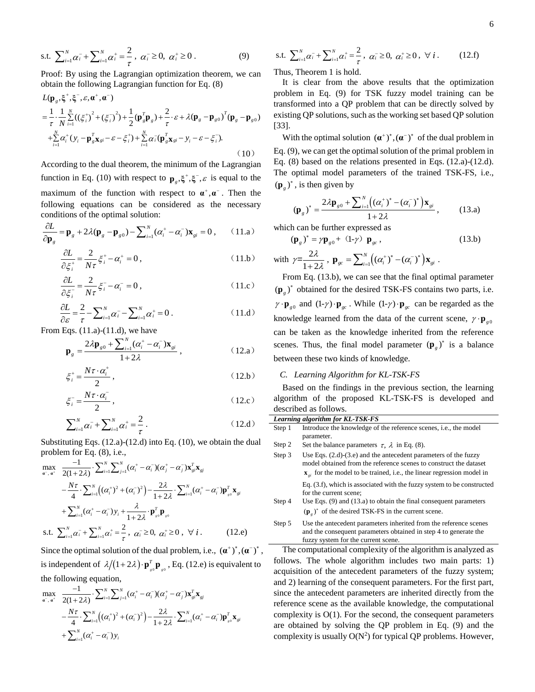s.t. 
$$
\sum_{i=1}^{N} \alpha_i^{-} + \sum_{i=1}^{N} \alpha_i^{+} = \frac{2}{\tau}, \ \alpha_i^{-} \ge 0, \ \alpha_i^{+} \ge 0.
$$
 (9)

Proof: By using the Lagrangian optimization theorem, we can **obtain the following Lagrangian function for Eq. (8)**<br>  $L(\mathbf{p}_g, \xi^+, \xi^-, \varepsilon, \boldsymbol{\alpha}^+, \boldsymbol{\alpha}^-)$ 

$$
L(\mathbf{p}_s, \xi^+, \xi^-, \varepsilon, \alpha^+, \alpha^-)
$$
  
=  $\frac{1}{\tau} \cdot \frac{1}{N} \sum_{i=1}^N ((\xi_i^+)^2 + (\xi_i^-)^2) + \frac{1}{2} (\mathbf{p}_s^T \mathbf{p}_s) + \frac{2}{\tau} \cdot \varepsilon + \lambda (\mathbf{p}_s - \mathbf{p}_{s0})^T (\mathbf{p}_s - \mathbf{p}_{s0})$   
+  $\sum_{i=1}^N \alpha_i^+ (y_i - \mathbf{p}_s^T \mathbf{x}_{si} - \varepsilon - \xi_i^+) + \sum_{i=1}^N \alpha_i^- (\mathbf{p}_s^T \mathbf{x}_{si} - y_i - \varepsilon - \xi_i^-).$  (10)

According to the dual theorem, the minimum of the Lagrangian function in Eq. (10) with respect to  $\mathbf{p}_g$ ,  $\xi^{\dagger}$ ,  $\xi^{\dagger}$ ,  $\varepsilon$  is equal to the maximum of the function with respect to  $\alpha^+$ ,  $\alpha^-$ . Then the following equations can be considered as the necessary

conditions of the optimal solution:  
\n
$$
\frac{\partial L}{\partial \mathbf{p}_g} = \mathbf{p}_g + 2\lambda(\mathbf{p}_g - \mathbf{p}_{g0}) - \sum_{i=1}^N (\alpha_i^+ - \alpha_i^-) \mathbf{x}_{gi} = 0, \qquad (11.a)
$$

$$
\frac{\partial L}{\partial \xi_i^+} = \frac{2}{N\tau} \xi_i^+ - \alpha_i^+ = 0, \qquad (11.b)
$$

$$
\frac{\partial L}{\partial \xi_i} = \frac{2}{N\tau} \xi_i - \alpha_i = 0, \qquad (11.c)
$$

$$
\frac{\partial L}{\partial \varepsilon} = \frac{2}{\tau} - \sum_{i=1}^{N} \alpha_i - \sum_{i=1}^{N} \alpha_i^+ = 0.
$$
 (11.d)

From Eqs. (11.a)-(11.d), we have

$$
\mathbf{p}_g = \frac{2\lambda \mathbf{p}_{g0} + \sum_{i=1}^N (\alpha_i^+ - \alpha_i^-) \mathbf{x}_{gi}}{1 + 2\lambda},
$$
 (12.a)

$$
\xi_i^+ = \frac{N\tau \cdot \alpha_i^+}{2},\tag{12.b}
$$

$$
\xi_i^- = \frac{N\tau \cdot \alpha_i^-}{2},\qquad(12.c)
$$

$$
\sum_{i=1}^{N} \alpha_i^- + \sum_{i=1}^{N} \alpha_i^+ = \frac{2}{\tau} \,. \tag{12. d}
$$

Substituting Eqs. (12.a)-(12.d) into Eq. (10), we obtain the dual<br>problem for Eq. (8), i.e.,<br> $\max_{\mathbf{a}^-, \mathbf{a}^+} \frac{-1}{2(1+2\lambda)} \cdot \sum_{i=1}^N \sum_{j=1}^N (\alpha_i^+ - \alpha_i^-)(\alpha_j^+ - \alpha_j^-) \mathbf{x}_s^T \mathbf{x}_{sj}$ 

problem for Eq. (8), i.e.,  
\n
$$
\max_{\mathbf{a}^-, \mathbf{a}^+} \frac{-1}{2(1+2\lambda)} \cdot \sum_{i=1}^N \sum_{j=1}^N (\alpha_i^+ - \alpha_i^-)(\alpha_j^+ - \alpha_j^-) \mathbf{x}_{gi}^T \mathbf{x}_{gi} -\frac{N\tau}{4} \cdot \sum_{i=1}^N ((\alpha_i^+)^2 + (\alpha_i^-)^2) - \frac{2\lambda}{1+2\lambda} \cdot \sum_{i=1}^N (\alpha_i^+ - \alpha_i^-) \mathbf{p}_{g_0}^T \mathbf{x}_{gi} +\sum_{i=1}^N (\alpha_i^+ - \alpha_i^-) y_i + \frac{\lambda}{1+2\lambda} \cdot \mathbf{p}_{g_0}^T \mathbf{p}_{g_0}
$$
\ns.t. 
$$
\sum_{i=1}^N \alpha_i^- + \sum_{i=1}^N \alpha_i^+ = \frac{2}{\tau}, \ \alpha_i^- \ge 0, \ \alpha_i^+ \ge 0, \ \forall i. \tag{12.e}
$$

Since the optimal solution of the dual problem, i.e.,  $(\mathbf{a}^+)^*, (\mathbf{a}^-)^*$ , is independent of  $\lambda/(1+2\lambda)\cdot \mathbf{p}_{s0}^T \mathbf{p}_{s0}$ of  $\lambda/(1+2\lambda) \cdot \mathbf{p}_{s0}^T \mathbf{p}_{s0}$ , Eq. (12.e) is equivalent to<br>quation,<br> $\sum_{i=1}^N \sum_{j=1}^N (\alpha_i^+ - \alpha_i^-)(\alpha_j^+ - \alpha_j^-) \mathbf{x}_{si}^T \mathbf{x}_{sj}$ 

the following equation,  
\n
$$
\max_{\mathbf{a}^-, \mathbf{a}^+} \frac{-1}{2(1+2\lambda)} \cdot \sum_{i=1}^N \sum_{j=1}^N (\alpha_i^+ - \alpha_i^-)(\alpha_j^+ - \alpha_j^-) \mathbf{x}_{gi}^T \mathbf{x}_{gi} -\frac{N\tau}{4} \cdot \sum_{i=1}^N ((\alpha_i^+)^2 + (\alpha_i^-)^2) - \frac{2\lambda}{1+2\lambda} \cdot \sum_{i=1}^N (\alpha_i^+ - \alpha_i^-) \mathbf{p}_{g_0}^T \mathbf{x}_{gi} + \sum_{i=1}^N (\alpha_i^+ - \alpha_i^-) y_i
$$

s.t. 
$$
\sum_{i=1}^{N} \alpha_i^2 + \sum_{i=1}^{N} \alpha_i^2 = \frac{2}{\tau}, \ \alpha_i \ge 0, \ \alpha_i \ge 0, \ \forall \ i. \tag{12.1}
$$

Thus, Theorem 1 is hold.

It is clear from the above results that the optimization problem in Eq. (9) for TSK fuzzy model training can be transformed into a QP problem that can be directly solved by existing QP solutions, such as the working set based QP solution [33].

With the optimal solution  $(\mathbf{a}^*)^*, (\mathbf{a}^-)^*$  of the dual problem in Eq. (9), we can get the optimal solution of the primal problem in Eq. (8) based on the relations presented in Eqs. (12.a)-(12.d). The optimal model parameters of the trained TSK-FS, i.e.,  $(\mathbf{p}_g)^*$ , is then given by

$$
(\mathbf{p}_g)^* = \frac{2\lambda \mathbf{p}_{g0} + \sum_{i=1}^N ((\alpha_i^+)^* - (\alpha_i^-)^*) \mathbf{x}_{gi}}{1 + 2\lambda},
$$
 (13.a)

which can be further expressed as

$$
\left(\mathbf{p}_{g}\right)^{*} = \gamma \mathbf{p}_{g0} + \left(1 - \gamma\right) \mathbf{p}_{gc}, \qquad (13.b)
$$

with  $y=\frac{2}{x}$  $1 + 2$ λ  $\gamma = \frac{2\lambda}{1+2\lambda}, \; \mathbf{p}_{gc} = \sum_{i=1}^{N} ((\alpha_i^+)^* - (\alpha_i^-)^*) \mathbf{x}_{gi}$  $\mathbf{p}_{gc} = \sum_{i=1}^{N} ((\alpha_i^+)^* - (\alpha_i^-)^*) \mathbf{x}_{gi}$ .

From Eq. (13.b), we can see that the final optimal parameter  $(\mathbf{p}_g)^*$  obtained for the desired TSK-FS contains two parts, i.e.  $\gamma \cdot \mathbf{p}_{g0}$  and  $(1-\gamma) \cdot \mathbf{p}_{g0}$ . While  $(1-\gamma) \cdot \mathbf{p}_{g0}$  can be regarded as the knowledge learned from the data of the current scene,  $\gamma \cdot \mathbf{p}_{g0}$ can be taken as the knowledge inherited from the reference scenes. Thus, the final model parameter  $(\mathbf{p}_{g})^*$  is a balance between these two kinds of knowledge.

## *C. Learning Algorithm for KL-TSK-FS*

fuzzy system for the current scene.

Based on the findings in the previous section, the learning algorithm of the proposed KL-TSK-FS is developed and described as follows.

|        | Learning algorithm for KL-TSK-FS                                                                                                                                                                                                    |
|--------|-------------------------------------------------------------------------------------------------------------------------------------------------------------------------------------------------------------------------------------|
| Step 1 | Introduce the knowledge of the reference scenes, <i>i.e.</i> , the model<br>parameter.                                                                                                                                              |
| Step 2 | Set the balance parameters $\tau$ , $\lambda$ in Eq. (8).                                                                                                                                                                           |
| Step 3 | Use Eqs. $(2.d)-(3.e)$ and the antecedent parameters of the fuzzy<br>model obtained from the reference scenes to construct the dataset<br>$\mathbf{x}_{\alpha i}$ for the model to be trained, i.e., the linear regression model in |
|        | Eq. $(3.f)$ , which is associated with the fuzzy system to be constructed<br>for the current scene;                                                                                                                                 |
| Step 4 | Use Eqs. $(9)$ and $(13.a)$ to obtain the final consequent parameters<br>$(\mathbf{p}_{\rho})^*$ of the desired TSK-FS in the current scene.                                                                                        |
| Step 5 | Use the antecedent parameters inherited from the reference scenes<br>and the consequent parameters obtained in step 4 to generate the                                                                                               |

The computational complexity of the algorithm is analyzed as follows. The whole algorithm includes two main parts: 1) acquisition of the antecedent parameters of the fuzzy system; and 2) learning of the consequent parameters. For the first part, since the antecedent parameters are inherited directly from the reference scene as the available knowledge, the computational complexity is O(1). For the second, the consequent parameters are obtained by solving the QP problem in Eq. (9) and the complexity is usually  $O(N^2)$  for typical QP problems. However,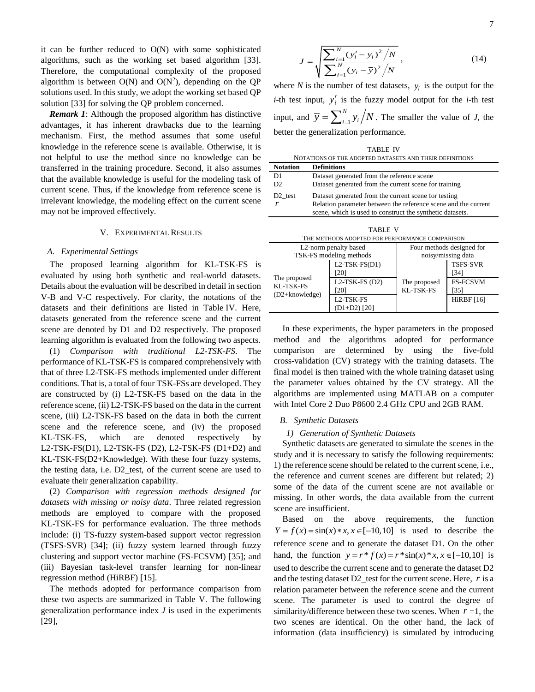it can be further reduced to  $O(N)$  with some sophisticated algorithms, such as the working set based algorithm [33]. Therefore, the computational complexity of the proposed algorithm is between  $O(N)$  and  $O(N^2)$ , depending on the QP solutions used. In this study, we adopt the working set based QP solution [33] for solving the QP problem concerned.

*Remark 1*: Although the proposed algorithm has distinctive advantages, it has inherent drawbacks due to the learning mechanism. First, the method assumes that some useful knowledge in the reference scene is available. Otherwise, it is not helpful to use the method since no knowledge can be transferred in the training procedure. Second, it also assumes that the available knowledge is useful for the modeling task of current scene. Thus, if the knowledge from reference scene is irrelevant knowledge, the modeling effect on the current scene may not be improved effectively.

### V. EXPERIMENTAL RESULTS

#### *A. Experimental Settings*

The proposed learning algorithm for KL-TSK-FS is evaluated by using both synthetic and real-world datasets. Details about the evaluation will be described in detail in section V-B and V-C respectively. For clarity, the notations of the datasets and their definitions are listed in Table IV. Here, datasets generated from the reference scene and the current scene are denoted by D1 and D2 respectively. The proposed learning algorithm is evaluated from the following two aspects.

(1) *Comparison with traditional L2-TSK-FS*. The performance of KL-TSK-FS is compared comprehensively with that of three L2-TSK-FS methods implemented under different conditions. That is, a total of four TSK-FSs are developed. They are constructed by (i) L2-TSK-FS based on the data in the reference scene, (ii) L2-TSK-FS based on the data in the current scene, (iii) L2-TSK-FS based on the data in both the current scene and the reference scene, and (iv) the proposed KL-TSK-FS, which are denoted respectively by L2-TSK-FS(D1), L2-TSK-FS (D2), L2-TSK-FS (D1+D2) and KL-TSK-FS(D2+Knowledge). With these four fuzzy systems, the testing data, i.e. D2\_test, of the current scene are used to evaluate their generalization capability.

(2) *Comparison with regression methods designed for datasets with missing or noisy data*. Three related regression methods are employed to compare with the proposed KL-TSK-FS for performance evaluation. The three methods include: (i) TS-fuzzy system-based support vector regression (TSFS-SVR) [34]; (ii) fuzzy system learned through fuzzy clustering and support vector machine (FS-FCSVM) [35]; and (iii) Bayesian task-level transfer learning for non-linear regression method (HiRBF) [15].

The methods adopted for performance comparison from these two aspects are summarized in Table V. The following generalization performance index *J* is used in the experiments [29],

$$
J = \sqrt{\frac{\sum_{i=1}^{N} (y'_i - y_i)^2 / N}{\sum_{i=1}^{N} (y_i - \overline{y})^2 / N}} ,
$$
 (14)

where  $N$  is the number of test datasets,  $y_i$  is the output for the *i*-th test input,  $y'_i$  is the fuzzy model output for the *i*-th test input, and  $\overline{y} = \sum_{i=1}^{n}$ *N*  $\overline{y} = \sum_{i=1}^{N} y_i / N$ . The smaller the value of *J*, the better the generalization performance.

|                     | <b>TABLE IV</b>                                                |
|---------------------|----------------------------------------------------------------|
|                     | NOTATIONS OF THE ADOPTED DATASETS AND THEIR DEFINITIONS        |
| Notation            | <b>Definitions</b>                                             |
| D1                  | Dataset generated from the reference scene                     |
| D <sub>2</sub>      | Dataset generated from the current scene for training          |
| D <sub>2</sub> test | Dataset generated from the current scene for testing           |
| r                   | Relation parameter between the reference scene and the current |
|                     | scene, which is used to construct the synthetic datasets.      |

| `ABLE |  |
|-------|--|
|       |  |

| THE METHODS ADOPTED FOR PERFORMANCE COMPARISON |                                                   |                                            |  |  |  |  |
|------------------------------------------------|---------------------------------------------------|--------------------------------------------|--|--|--|--|
| L2-norm penalty based                          | Four methods designed for                         |                                            |  |  |  |  |
|                                                |                                                   |                                            |  |  |  |  |
| $L2-TSK-FS(D1)$<br>[20]<br>$L2-TSK-FS(D2)$     | The proposed                                      | <b>TSFS-SVR</b><br>[34]<br><b>FS-FCSVM</b> |  |  |  |  |
| L <sub>2</sub> -TSK-FS                         |                                                   | [35]<br><b>HiRBF</b> [16]                  |  |  |  |  |
|                                                | TSK-FS modeling methods<br>[20]<br>$(D1+D2)$ [20] | noisy/missing data<br>KL-TSK-FS            |  |  |  |  |

In these experiments, the hyper parameters in the proposed method and the algorithms adopted for performance comparison are determined by using the five-fold cross-validation (CV) strategy with the training datasets. The final model is then trained with the whole training dataset using the parameter values obtained by the CV strategy. All the algorithms are implemented using MATLAB on a computer with Intel Core 2 Duo P8600 2.4 GHz CPU and 2GB RAM.

### *B. Synthetic Datasets*

#### *1) Generation of Synthetic Datasets*

Synthetic datasets are generated to simulate the scenes in the study and it is necessary to satisfy the following requirements: 1) the reference scene should be related to the current scene, i.e., the reference and current scenes are different but related; 2) some of the data of the current scene are not available or missing. In other words, the data available from the current scene are insufficient.

Based on the above requirements, the function Based on the above requirements, the function  $Y = f(x) = \sin(x) * x, x \in [-10, 10]$  is used to describe the reference scene and to generate the dataset D1. On the other reference scene and to generate the dataset D1. On the other hand, the function  $y = r * f(x) = r * sin(x) * x, x \in [-10,10]$  is used to describe the current scene and to generate the dataset D2 and the testing dataset  $D2$  test for the current scene. Here,  $r$  is a relation parameter between the reference scene and the current scene. The parameter is used to control the degree of similarity/difference between these two scenes. When  $r = 1$ , the two scenes are identical. On the other hand, the lack of information (data insufficiency) is simulated by introducing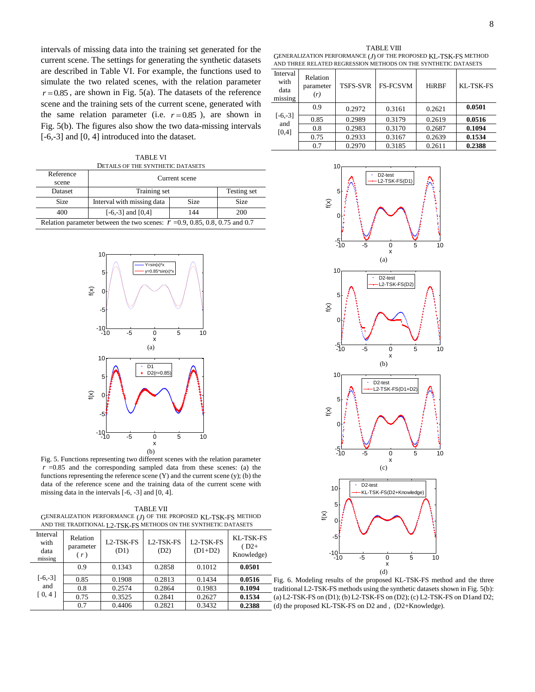intervals of missing data into the training set generated for the current scene. The settings for generating the synthetic datasets are described in Table VI. For example, the functions used to simulate the two related scenes, with the relation parameter  $r = 0.85$ , are shown in Fig. 5(a). The datasets of the reference scene and the training sets of the current scene, generated with the same relation parameter (i.e.  $r = 0.85$ ), are shown in Fig. 5(b). The figures also show the two data-missing intervals [-6,-3] and [0, 4] introduced into the dataset.

TABLE VI DETAILS OF THE SYNTHETIC DATASETS

| Reference<br>scene                                                            | Current scene               |             |             |  |  |
|-------------------------------------------------------------------------------|-----------------------------|-------------|-------------|--|--|
| Dataset                                                                       | Testing set<br>Training set |             |             |  |  |
| <b>Size</b>                                                                   | Interval with missing data  | <b>Size</b> | <b>Size</b> |  |  |
| 400                                                                           | $[-6,-3]$ and $[0,4]$       | 144         | 200         |  |  |
| Relation parameter between the two scenes: $r = 0.9, 0.85, 0.8, 0.75$ and 0.7 |                             |             |             |  |  |



Fig. 5. Functions representing two different scenes with the relation parameter  $r = 0.85$  and the corresponding sampled data from these scenes: (a) the functions representing the reference scene (Y) and the current scene (y); (b) the data of the reference scene and the training data of the current scene with missing data in the intervals [-6, -3] and [0, 4].

| TABLE VII                                                         |
|-------------------------------------------------------------------|
| GENERALIZATION PERFORMANCE $(J)$ OF THE PROPOSED KL-TSK-FS METHOD |
| AND THE TRADITIONAL I 2-TSK-FS METHODS ON THE SYNTHETIC DATASETS  |

| Interval<br>with<br>data<br>missing | Relation<br>parameter<br>(r) | L <sub>2</sub> -TSK-FS<br>(D1) | L <sub>2</sub> -TSK-FS<br>(D2) | L <sub>2</sub> -TSK-FS<br>$(D1+D2)$ | KL-TSK-FS<br>$(D2+$<br>Knowledge) |
|-------------------------------------|------------------------------|--------------------------------|--------------------------------|-------------------------------------|-----------------------------------|
|                                     | 0.9                          | 0.1343                         | 0.2858                         | 0.1012                              | 0.0501                            |
| $[-6,-3]$                           | 0.85                         | 0.1908                         | 0.2813                         | 0.1434                              | 0.0516                            |
| and                                 | 0.8                          | 0.2574                         | 0.2864                         | 0.1983                              | 0.1094                            |
| [0, 4]                              | 0.75                         | 0.3525                         | 0.2841                         | 0.2627                              | 0.1534                            |
|                                     | 0.7                          | 0.4406                         | 0.2821                         | 0.3432                              | 0.2388                            |

| Interval<br>with<br>data<br>missing | Relation<br>parameter<br>(r) | <b>TSFS-SVR</b> | <b>FS-FCSVM</b> | HiRBF  | KL-TSK-FS |
|-------------------------------------|------------------------------|-----------------|-----------------|--------|-----------|
|                                     | 0.9                          | 0.2972          | 0.3161          | 0.2621 | 0.0501    |
| $[-6,-3]$<br>and                    | 0.85                         | 0.2989          | 0.3179          | 0.2619 | 0.0516    |
| [0,4]                               | 0.8                          | 0.2983          | 0.3170          | 0.2687 | 0.1094    |
|                                     | 0.75                         | 0.2933          | 0.3167          | 0.2639 | 0.1534    |
|                                     | 0.7                          | 0.2970          | 0.3185          | 0.2611 | 0.2388    |



Fig. 6. Modeling results of the proposed KL-TSK-FS method and the three traditional L2-TSK-FS methods using the synthetic datasets shown in Fig. 5(b): (a) L2-TSK-FS on (D1); (b) L2-TSK-FS on (D2); (c) L2-TSK-FS on D1and D2; (d) the proposed KL-TSK-FS on D2 and , (D2+Knowledge).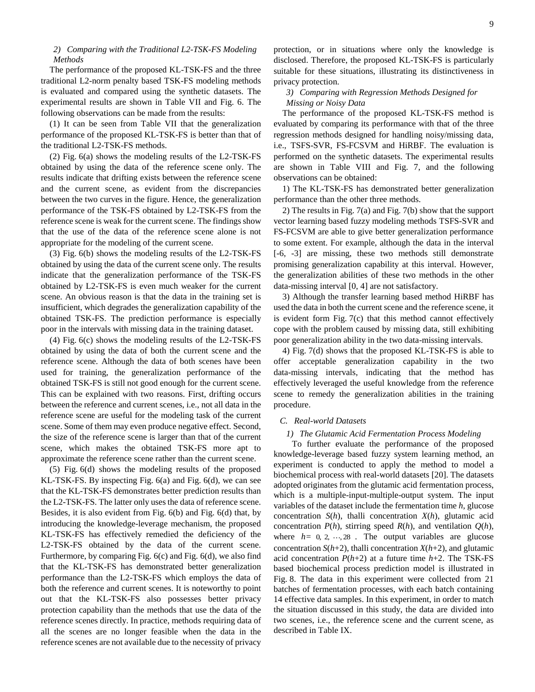### *2) Comparing with the Traditional L2-TSK-FS Modeling Methods*

The performance of the proposed KL-TSK-FS and the three traditional L2-norm penalty based TSK-FS modeling methods is evaluated and compared using the synthetic datasets. The experimental results are shown in Table VII and Fig. 6. The following observations can be made from the results:

(1) It can be seen from Table VII that the generalization performance of the proposed KL-TSK-FS is better than that of the traditional L2-TSK-FS methods.

(2) Fig. 6(a) shows the modeling results of the L2-TSK-FS obtained by using the data of the reference scene only. The results indicate that drifting exists between the reference scene and the current scene, as evident from the discrepancies between the two curves in the figure. Hence, the generalization performance of the TSK-FS obtained by L2-TSK-FS from the reference scene is weak for the current scene. The findings show that the use of the data of the reference scene alone is not appropriate for the modeling of the current scene.

(3) Fig. 6(b) shows the modeling results of the L2-TSK-FS obtained by using the data of the current scene only. The results indicate that the generalization performance of the TSK-FS obtained by L2-TSK-FS is even much weaker for the current scene. An obvious reason is that the data in the training set is insufficient, which degrades the generalization capability of the obtained TSK-FS. The prediction performance is especially poor in the intervals with missing data in the training dataset.

(4) Fig. 6(c) shows the modeling results of the L2-TSK-FS obtained by using the data of both the current scene and the reference scene. Although the data of both scenes have been used for training, the generalization performance of the obtained TSK-FS is still not good enough for the current scene. This can be explained with two reasons. First, drifting occurs between the reference and current scenes, i.e., not all data in the reference scene are useful for the modeling task of the current scene. Some of them may even produce negative effect. Second, the size of the reference scene is larger than that of the current scene, which makes the obtained TSK-FS more apt to approximate the reference scene rather than the current scene.

(5) Fig. 6(d) shows the modeling results of the proposed KL-TSK-FS. By inspecting Fig. 6(a) and Fig. 6(d), we can see that the KL-TSK-FS demonstrates better prediction results than the L2-TSK-FS. The latter only uses the data of reference scene. Besides, it is also evident from Fig. 6(b) and Fig. 6(d) that, by introducing the knowledge-leverage mechanism, the proposed KL-TSK-FS has effectively remedied the deficiency of the L2-TSK-FS obtained by the data of the current scene. Furthermore, by comparing Fig. 6(c) and Fig. 6(d), we also find that the KL-TSK-FS has demonstrated better generalization performance than the L2-TSK-FS which employs the data of both the reference and current scenes. It is noteworthy to point out that the KL-TSK-FS also possesses better privacy protection capability than the methods that use the data of the reference scenes directly. In practice, methods requiring data of all the scenes are no longer feasible when the data in the reference scenes are not available due to the necessity of privacy

protection, or in situations where only the knowledge is disclosed. Therefore, the proposed KL-TSK-FS is particularly suitable for these situations, illustrating its distinctiveness in privacy protection.

## *3) Comparing with Regression Methods Designed for Missing or Noisy Data*

The performance of the proposed KL-TSK-FS method is evaluated by comparing its performance with that of the three regression methods designed for handling noisy/missing data, i.e., TSFS-SVR, FS-FCSVM and HiRBF. The evaluation is performed on the synthetic datasets. The experimental results are shown in Table VIII and Fig. 7, and the following observations can be obtained:

1) The KL-TSK-FS has demonstrated better generalization performance than the other three methods.

2) The results in Fig. 7(a) and Fig. 7(b) show that the support vector learning based fuzzy modeling methods TSFS-SVR and FS-FCSVM are able to give better generalization performance to some extent. For example, although the data in the interval [-6, -3] are missing, these two methods still demonstrate promising generalization capability at this interval. However, the generalization abilities of these two methods in the other data-missing interval [0, 4] are not satisfactory.

3) Although the transfer learning based method HiRBF has used the data in both the current scene and the reference scene, it is evident form Fig. 7(c) that this method cannot effectively cope with the problem caused by missing data, still exhibiting poor generalization ability in the two data-missing intervals.

4) Fig. 7(d) shows that the proposed KL-TSK-FS is able to offer acceptable generalization capability in the two data-missing intervals, indicating that the method has effectively leveraged the useful knowledge from the reference scene to remedy the generalization abilities in the training procedure.

## *C. Real-world Datasets*

#### *1) The Glutamic Acid Fermentation Process Modeling*

To further evaluate the performance of the proposed knowledge-leverage based fuzzy system learning method, an experiment is conducted to apply the method to model a biochemical process with real-world datasets [20]. The datasets adopted originates from the glutamic acid fermentation process, which is a multiple-input-multiple-output system. The input variables of the dataset include the fermentation time *h*, glucose concentration *S*(*h*), thalli concentration *X*(*h*), glutamic acid concentration  $P(h)$ , stirring speed  $R(h)$ , and ventilation  $Q(h)$ , where  $h=0, 2, \dots, 28$ . The output variables are glucose concentration  $S(h+2)$ , thalli concentration  $X(h+2)$ , and glutamic acid concentration  $P(h+2)$  at a future time  $h+2$ . The TSK-FS based biochemical process prediction model is illustrated in Fig. 8. The data in this experiment were collected from 21 batches of fermentation processes, with each batch containing 14 effective data samples. In this experiment, in order to match the situation discussed in this study, the data are divided into two scenes, i.e., the reference scene and the current scene, as described in Table IX.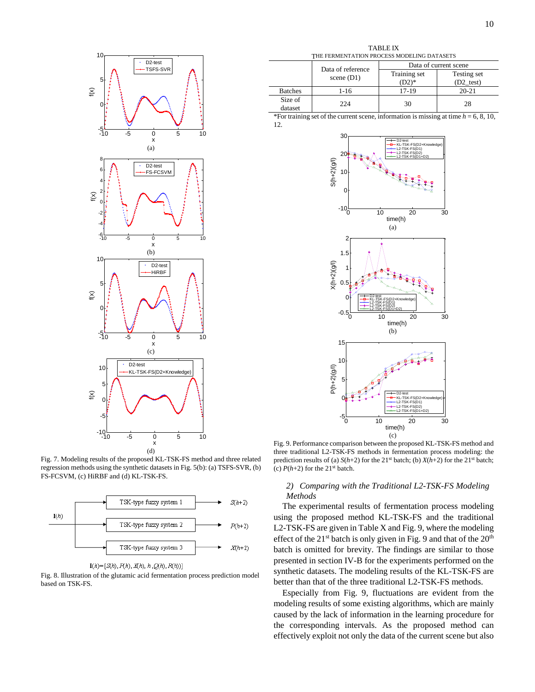

Fig. 7. Modeling results of the proposed KL-TSK-FS method and three related regression methods using the synthetic datasets in Fig. 5(b): (a) TSFS-SVR, (b) FS-FCSVM, (c) HiRBF and (d) KL-TSK-FS.





Fig. 8. Illustration of the glutamic acid fermentation process prediction model based on TSK-FS.

TABLE IX THE FERMENTATION PROCESS MODELING DATASETS

|                    |                                   | Data of current scene   |                                    |  |
|--------------------|-----------------------------------|-------------------------|------------------------------------|--|
|                    | Data of reference<br>scene $(D1)$ | Training set<br>$(D2)*$ | Testing set<br>$(D2 \text{ test})$ |  |
| <b>Batches</b>     | $1 - 16$                          | 17-19                   | $20 - 21$                          |  |
| Size of<br>dataset | 224                               | 30                      | 28                                 |  |

\*For training set of the current scene, information is missing at time *h* = 6, 8, 10, 12.



Fig. 9. Performance comparison between the proposed KL-TSK-FS method and three traditional L2-TSK-FS methods in fermentation process modeling: the prediction results of (a)  $S(h+2)$  for the 21<sup>st</sup> batch; (b)  $X(h+2)$  for the 21<sup>st</sup> batch; (c)  $P(h+2)$  for the 21<sup>st</sup> batch.

## *2) Comparing with the Traditional L2-TSK-FS Modeling Methods*

The experimental results of fermentation process modeling using the proposed method KL-TSK-FS and the traditional L2-TSK-FS are given in Table X and Fig. 9, where the modeling effect of the  $21<sup>st</sup>$  batch is only given in Fig. 9 and that of the  $20<sup>th</sup>$ batch is omitted for brevity. The findings are similar to those presented in section IV-B for the experiments performed on the synthetic datasets. The modeling results of the KL-TSK-FS are better than that of the three traditional L2-TSK-FS methods.

Especially from Fig. 9, fluctuations are evident from the modeling results of some existing algorithms, which are mainly caused by the lack of information in the learning procedure for the corresponding intervals. As the proposed method can effectively exploit not only the data of the current scene but also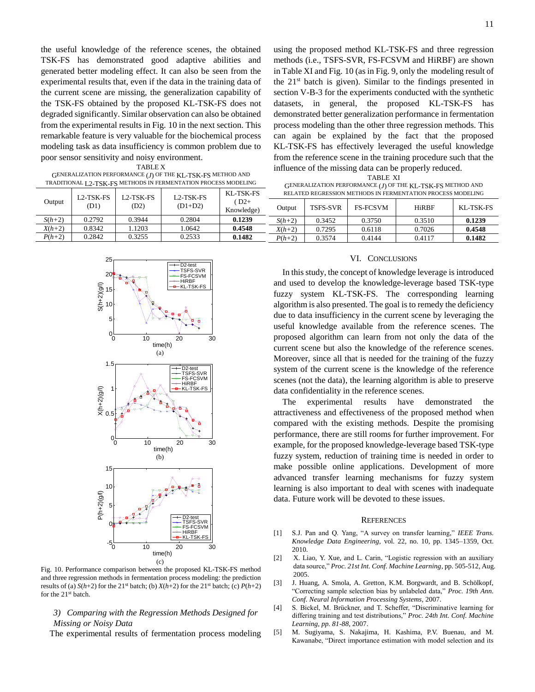the useful knowledge of the reference scenes, the obtained TSK-FS has demonstrated good adaptive abilities and generated better modeling effect. It can also be seen from the experimental results that, even if the data in the training data of the current scene are missing, the generalization capability of the TSK-FS obtained by the proposed KL-TSK-FS does not degraded significantly. Similar observation can also be obtained from the experimental results in Fig. 10 in the next section. This remarkable feature is very valuable for the biochemical process modeling task as data insufficiency is common problem due to poor sensor sensitivity and noisy environment.

TABLE X

| GENERALIZATION PERFORMANCE (J) OF THE KL-TSK-FS METHOD AND     |  |
|----------------------------------------------------------------|--|
| TRADITIONAL L2-TSK-FS METHODS IN FERMENTATION PROCESS MODELING |  |

|          | L2-TSK-FS<br>L <sub>2</sub> -TSK-FS<br>L <sub>2</sub> -TSK-FS |        | KL-TSK-FS |                     |          |                 | RELATED REGRESSION METHODS IN FERMENTATION PROCESS MODELING |              |           |
|----------|---------------------------------------------------------------|--------|-----------|---------------------|----------|-----------------|-------------------------------------------------------------|--------------|-----------|
| Output   | (D1)                                                          | (D2)   | $(D1+D2)$ | $D2+$<br>Knowledge) | Output   | <b>TSFS-SVR</b> | <b>FS-FCSVM</b>                                             | <b>HiRBF</b> | KL-TSK-FS |
| $S(h+2)$ | 0.2792                                                        | 0.3944 | 0.2804    | 0.1239              | $S(h+2)$ | 0.3452          | 0.3750                                                      | 0.3510       | 0.1239    |
| $X(h+2)$ | 0.8342                                                        | .1203  | .0642     | 0.4548              | $X(h+2)$ | 0.7295          | 0.6118                                                      | 0.7026       | 0.4548    |
| $P(h+2)$ | 0.2842                                                        | 0.3255 | 0.2533    | 0.1482              | $P(h+2)$ | 0.3574          | 0.4144                                                      | 0.4117       | 0.1482    |



Fig. 10. Performance comparison between the proposed KL-TSK-FS method and three regression methods in fermentation process modeling: the prediction results of (a)  $S(h+2)$  for the 21<sup>st</sup> batch; (b)  $X(h+2)$  for the 21<sup>st</sup> batch; (c)  $P(h+2)$ for the 21<sup>st</sup> batch.

### *3) Comparing with the Regression Methods Designed for Missing or Noisy Data*

The experimental results of fermentation process modeling

using the proposed method KL-TSK-FS and three regression methods (i.e., TSFS-SVR, FS-FCSVM and HiRBF) are shown in Table XI and Fig. 10 (as in Fig. 9, only the modeling result of the 21 st batch is given). Similar to the findings presented in section V-B-3 for the experiments conducted with the synthetic datasets, in general, the proposed KL-TSK-FS has demonstrated better generalization performance in fermentation process modeling than the other three regression methods. This can again be explained by the fact that the proposed KL-TSK-FS has effectively leveraged the useful knowledge from the reference scene in the training procedure such that the influence of the missing data can be properly reduced.

| TABLE XI                                                    |
|-------------------------------------------------------------|
| GENERALIZATION PERFORMANCE (J) OF THE KL-TSK-FS METHOD AND  |
| RELATED REGRESSION METHODS IN FERMENTATION PROCESS MODELING |

#### VI. CONCLUSIONS

In this study, the concept of knowledge leverage is introduced and used to develop the knowledge-leverage based TSK-type fuzzy system KL-TSK-FS. The corresponding learning algorithm is also presented. The goal is to remedy the deficiency due to data insufficiency in the current scene by leveraging the useful knowledge available from the reference scenes. The proposed algorithm can learn from not only the data of the current scene but also the knowledge of the reference scenes. Moreover, since all that is needed for the training of the fuzzy system of the current scene is the knowledge of the reference scenes (not the data), the learning algorithm is able to preserve data confidentiality in the reference scenes.

The experimental results have demonstrated the attractiveness and effectiveness of the proposed method when compared with the existing methods. Despite the promising performance, there are still rooms for further improvement. For example, for the proposed knowledge-leverage based TSK-type fuzzy system, reduction of training time is needed in order to make possible online applications. Development of more advanced transfer learning mechanisms for fuzzy system learning is also important to deal with scenes with inadequate data. Future work will be devoted to these issues.

#### **REFERENCES**

- [1] S.J. Pan and Q. Yang, "A survey on transfer learning," *IEEE Trans. Knowledge Data Engineering,* vol. 22, no. 10, pp. 1345–1359, Oct. 2010.
- [2] X. Liao, Y. Xue, and L. Carin, "Logistic regression with an auxiliary data source," *Proc. 21st Int. Conf. Machine Learning*, pp. 505-512, Aug. 2005.
- [3] J. Huang, A. Smola, A. Gretton, K.M. Borgwardt, and B. Schölkopf, "Correcting sample selection bias by unlabeled data," *Proc. 19th Ann. Conf. Neural Information Processing Systems*, 2007.
- [4] S. Bickel, M. Brückner, and T. Scheffer, "Discriminative learning for differing training and test distributions," *Proc. 24th Int. Conf. Machine Learning, pp. 81-88*, 2007.
- [5] M. Sugiyama, S. Nakajima, H. Kashima, P.V. Buenau, and M. Kawanabe, "Direct importance estimation with model selection and its